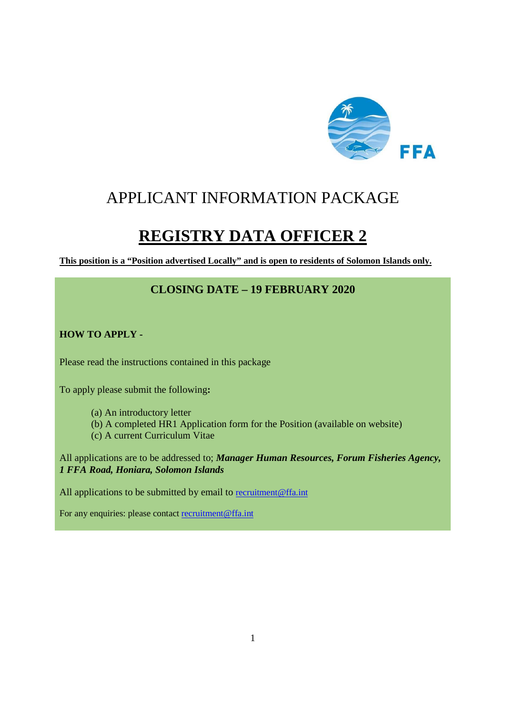

## APPLICANT INFORMATION PACKAGE

# **REGISTRY DATA OFFICER 2**

**This position is a "Position advertised Locally" and is open to residents of Solomon Islands only.** 

## **CLOSING DATE – 19 FEBRUARY 2020**

#### **HOW TO APPLY -**

Please read the instructions contained in this package

To apply please submit the following**:** 

- (a) An introductory letter
- (b) A completed HR1 Application form for the Position (available on website)
- (c) A current Curriculum Vitae

All applications are to be addressed to; *Manager Human Resources, Forum Fisheries Agency, 1 FFA Road, Honiara, Solomon Islands* 

All applications to be submitted by email to recruitment@ffa.int

For any enquiries: please contact recruitment@ffa.int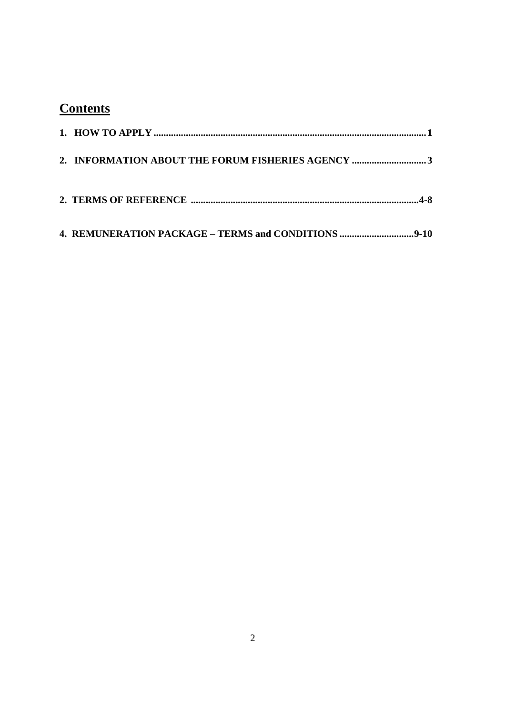## **Contents**

| 2. INFORMATION ABOUT THE FORUM FISHERIES AGENCY 3 |
|---------------------------------------------------|
|                                                   |
|                                                   |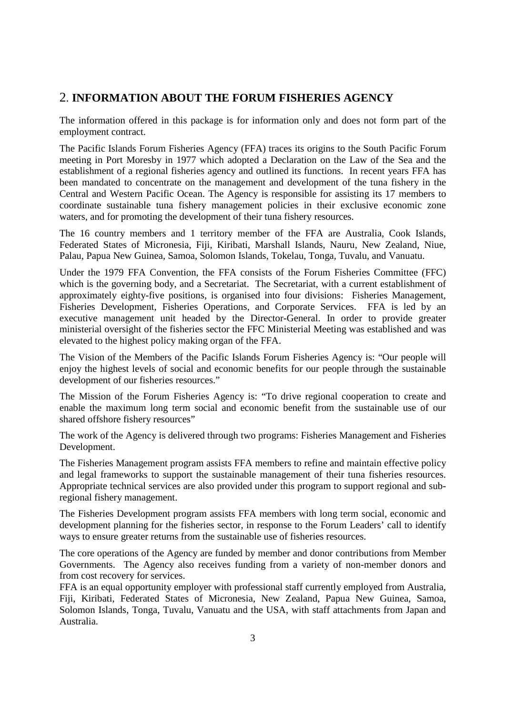## 2. **INFORMATION ABOUT THE FORUM FISHERIES AGENCY**

The information offered in this package is for information only and does not form part of the employment contract.

The Pacific Islands Forum Fisheries Agency (FFA) traces its origins to the South Pacific Forum meeting in Port Moresby in 1977 which adopted a Declaration on the Law of the Sea and the establishment of a regional fisheries agency and outlined its functions. In recent years FFA has been mandated to concentrate on the management and development of the tuna fishery in the Central and Western Pacific Ocean. The Agency is responsible for assisting its 17 members to coordinate sustainable tuna fishery management policies in their exclusive economic zone waters, and for promoting the development of their tuna fishery resources.

The 16 country members and 1 territory member of the FFA are Australia, Cook Islands, Federated States of Micronesia, Fiji, Kiribati, Marshall Islands, Nauru, New Zealand, Niue, Palau, Papua New Guinea, Samoa, Solomon Islands, Tokelau, Tonga, Tuvalu, and Vanuatu.

Under the 1979 FFA Convention, the FFA consists of the Forum Fisheries Committee (FFC) which is the governing body, and a Secretariat. The Secretariat, with a current establishment of approximately eighty-five positions, is organised into four divisions: Fisheries Management, Fisheries Development, Fisheries Operations, and Corporate Services. FFA is led by an executive management unit headed by the Director-General. In order to provide greater ministerial oversight of the fisheries sector the FFC Ministerial Meeting was established and was elevated to the highest policy making organ of the FFA.

The Vision of the Members of the Pacific Islands Forum Fisheries Agency is: "Our people will enjoy the highest levels of social and economic benefits for our people through the sustainable development of our fisheries resources."

The Mission of the Forum Fisheries Agency is: "To drive regional cooperation to create and enable the maximum long term social and economic benefit from the sustainable use of our shared offshore fishery resources"

The work of the Agency is delivered through two programs: Fisheries Management and Fisheries Development.

The Fisheries Management program assists FFA members to refine and maintain effective policy and legal frameworks to support the sustainable management of their tuna fisheries resources. Appropriate technical services are also provided under this program to support regional and subregional fishery management.

The Fisheries Development program assists FFA members with long term social, economic and development planning for the fisheries sector, in response to the Forum Leaders' call to identify ways to ensure greater returns from the sustainable use of fisheries resources.

The core operations of the Agency are funded by member and donor contributions from Member Governments. The Agency also receives funding from a variety of non-member donors and from cost recovery for services.

FFA is an equal opportunity employer with professional staff currently employed from Australia, Fiji, Kiribati, Federated States of Micronesia, New Zealand, Papua New Guinea, Samoa, Solomon Islands, Tonga, Tuvalu, Vanuatu and the USA, with staff attachments from Japan and Australia.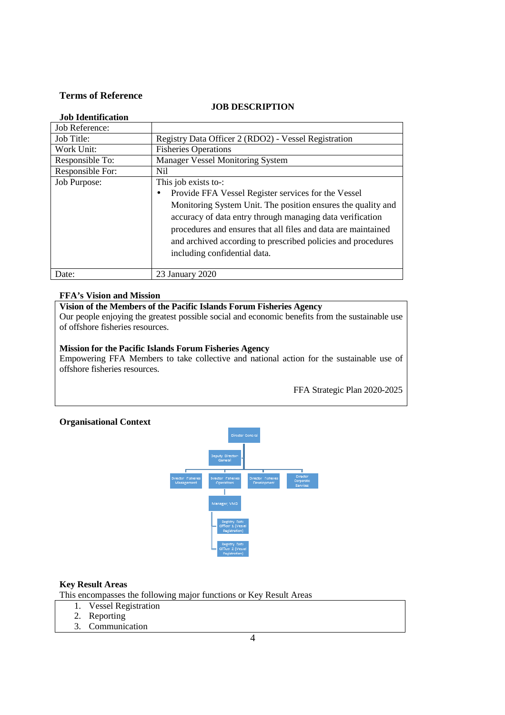#### **Terms of Reference**

#### **JOB DESCRIPTION**

| <b>Job Identification</b> |                                                                                                                                                                                                                                                                                                                                                                                        |
|---------------------------|----------------------------------------------------------------------------------------------------------------------------------------------------------------------------------------------------------------------------------------------------------------------------------------------------------------------------------------------------------------------------------------|
| Job Reference:            |                                                                                                                                                                                                                                                                                                                                                                                        |
| Job Title:                | Registry Data Officer 2 (RDO2) - Vessel Registration                                                                                                                                                                                                                                                                                                                                   |
| Work Unit:                | <b>Fisheries Operations</b>                                                                                                                                                                                                                                                                                                                                                            |
| Responsible To:           | <b>Manager Vessel Monitoring System</b>                                                                                                                                                                                                                                                                                                                                                |
| Responsible For:          | Nil                                                                                                                                                                                                                                                                                                                                                                                    |
| Job Purpose:              | This job exists to-:<br>Provide FFA Vessel Register services for the Vessel<br>$\bullet$<br>Monitoring System Unit. The position ensures the quality and<br>accuracy of data entry through managing data verification<br>procedures and ensures that all files and data are maintained<br>and archived according to prescribed policies and procedures<br>including confidential data. |
| Date:                     | 23 January 2020                                                                                                                                                                                                                                                                                                                                                                        |

#### **FFA's Vision and Mission**

#### **Vision of the Members of the Pacific Islands Forum Fisheries Agency**

Our people enjoying the greatest possible social and economic benefits from the sustainable use of offshore fisheries resources.

#### **Mission for the Pacific Islands Forum Fisheries Agency**

Empowering FFA Members to take collective and national action for the sustainable use of offshore fisheries resources.

FFA Strategic Plan 2020-2025

#### **Organisational Context**



#### **Key Result Areas**

This encompasses the following major functions or Key Result Areas

- 1. Vessel Registration
	- 2. Reporting
- 3. Communication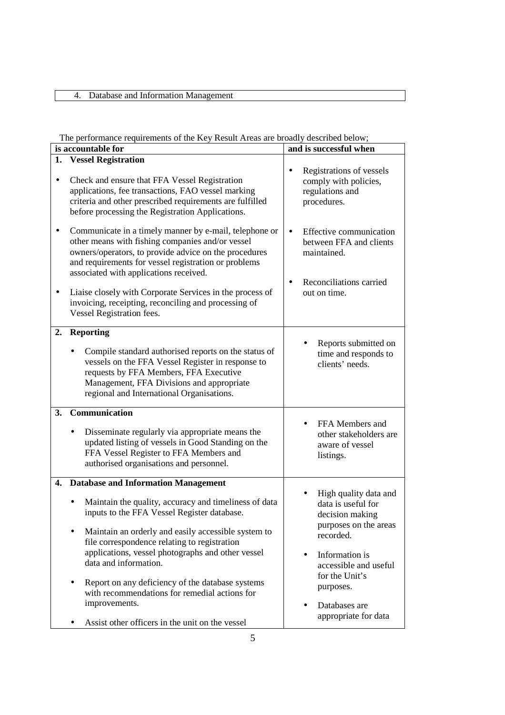### 4. Database and Information Management

#### The performance requirements of the Key Result Areas are broadly described below;

| is accountable for |                                                                                                                                                                                                                                                                                                                                                                                                                                                                                                              | and is successful when                                                                                                                                                                                                  |
|--------------------|--------------------------------------------------------------------------------------------------------------------------------------------------------------------------------------------------------------------------------------------------------------------------------------------------------------------------------------------------------------------------------------------------------------------------------------------------------------------------------------------------------------|-------------------------------------------------------------------------------------------------------------------------------------------------------------------------------------------------------------------------|
| 1.                 | <b>Vessel Registration</b>                                                                                                                                                                                                                                                                                                                                                                                                                                                                                   |                                                                                                                                                                                                                         |
| $\bullet$          | Check and ensure that FFA Vessel Registration<br>applications, fee transactions, FAO vessel marking<br>criteria and other prescribed requirements are fulfilled<br>before processing the Registration Applications.                                                                                                                                                                                                                                                                                          | Registrations of vessels<br>$\bullet$<br>comply with policies,<br>regulations and<br>procedures.                                                                                                                        |
|                    | Communicate in a timely manner by e-mail, telephone or<br>other means with fishing companies and/or vessel<br>owners/operators, to provide advice on the procedures<br>and requirements for vessel registration or problems<br>associated with applications received.<br>Liaise closely with Corporate Services in the process of<br>invoicing, receipting, reconciling and processing of<br>Vessel Registration fees.                                                                                       | Effective communication<br>$\bullet$<br>between FFA and clients<br>maintained.<br>Reconciliations carried<br>out on time.                                                                                               |
| 2.                 | <b>Reporting</b><br>Compile standard authorised reports on the status of<br>vessels on the FFA Vessel Register in response to<br>requests by FFA Members, FFA Executive<br>Management, FFA Divisions and appropriate<br>regional and International Organisations.                                                                                                                                                                                                                                            | Reports submitted on<br>time and responds to<br>clients' needs.                                                                                                                                                         |
| <b>3.</b>          | Communication<br>Disseminate regularly via appropriate means the<br>updated listing of vessels in Good Standing on the<br>FFA Vessel Register to FFA Members and<br>authorised organisations and personnel.                                                                                                                                                                                                                                                                                                  | FFA Members and<br>other stakeholders are<br>aware of vessel<br>listings.                                                                                                                                               |
|                    | 4. Database and Information Management<br>Maintain the quality, accuracy and timeliness of data<br>inputs to the FFA Vessel Register database.<br>Maintain an orderly and easily accessible system to<br>file correspondence relating to registration<br>applications, vessel photographs and other vessel<br>data and information.<br>Report on any deficiency of the database systems<br>with recommendations for remedial actions for<br>improvements.<br>Assist other officers in the unit on the vessel | High quality data and<br>data is useful for<br>decision making<br>purposes on the areas<br>recorded.<br>Information is<br>accessible and useful<br>for the Unit's<br>purposes.<br>Databases are<br>appropriate for data |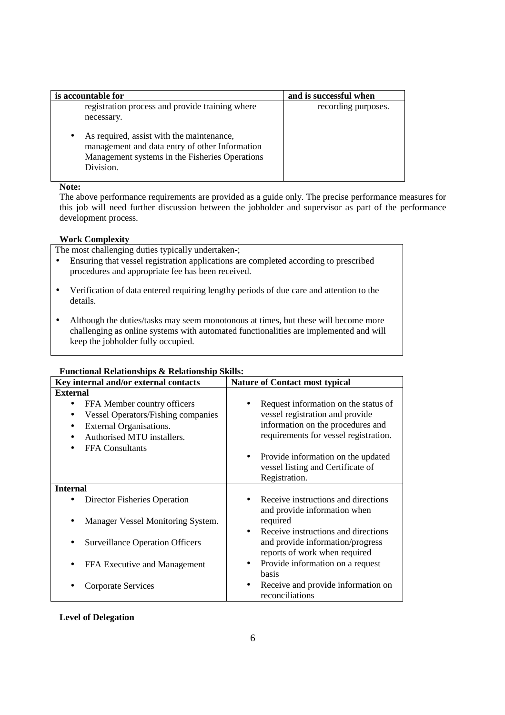| is accountable for                                                                                                                                                      | and is successful when |
|-------------------------------------------------------------------------------------------------------------------------------------------------------------------------|------------------------|
| registration process and provide training where<br>necessary.                                                                                                           | recording purposes.    |
| As required, assist with the maintenance,<br>$\bullet$<br>management and data entry of other Information<br>Management systems in the Fisheries Operations<br>Division. |                        |

#### **Note:**

The above performance requirements are provided as a guide only. The precise performance measures for this job will need further discussion between the jobholder and supervisor as part of the performance development process.

#### **Work Complexity**

The most challenging duties typically undertaken-;

- Ensuring that vessel registration applications are completed according to prescribed procedures and appropriate fee has been received.
- Verification of data entered requiring lengthy periods of due care and attention to the details.
- Although the duties/tasks may seem monotonous at times, but these will become more challenging as online systems with automated functionalities are implemented and will keep the jobholder fully occupied.

| Key internal and/or external contacts                                                                                                                                                        | <b>Nature of Contact most typical</b>                                                                                                                 |  |
|----------------------------------------------------------------------------------------------------------------------------------------------------------------------------------------------|-------------------------------------------------------------------------------------------------------------------------------------------------------|--|
| <b>External</b>                                                                                                                                                                              |                                                                                                                                                       |  |
| FFA Member country officers<br>$\bullet$<br><b>Vessel Operators/Fishing companies</b><br><b>External Organisations.</b><br>$\bullet$<br>Authorised MTU installers.<br><b>FFA</b> Consultants | Request information on the status of<br>vessel registration and provide<br>information on the procedures and<br>requirements for vessel registration. |  |
|                                                                                                                                                                                              | Provide information on the updated<br>$\bullet$<br>vessel listing and Certificate of<br>Registration.                                                 |  |
| <b>Internal</b>                                                                                                                                                                              |                                                                                                                                                       |  |
| Director Fisheries Operation                                                                                                                                                                 | Receive instructions and directions<br>and provide information when                                                                                   |  |
| Manager Vessel Monitoring System.<br>$\bullet$                                                                                                                                               | required                                                                                                                                              |  |
| <b>Surveillance Operation Officers</b>                                                                                                                                                       | Receive instructions and directions<br>$\bullet$<br>and provide information/progress<br>reports of work when required                                 |  |
| FFA Executive and Management                                                                                                                                                                 | Provide information on a request<br>٠<br><b>basis</b>                                                                                                 |  |
| Corporate Services                                                                                                                                                                           | Receive and provide information on<br>reconciliations                                                                                                 |  |

### **Functional Relationships & Relationship Skills:**

#### **Level of Delegation**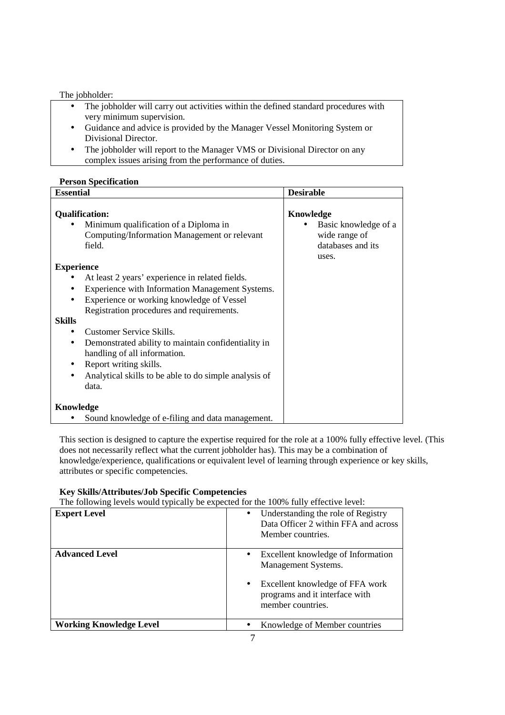#### The jobholder:

- The jobholder will carry out activities within the defined standard procedures with very minimum supervision.
- Guidance and advice is provided by the Manager Vessel Monitoring System or Divisional Director.
- The jobholder will report to the Manager VMS or Divisional Director on any complex issues arising from the performance of duties.

#### **Person Specification**

| <b>Essential</b>                                                                                                                                                                                                                                                                                                                                                                                                                          | <b>Desirable</b>                                                                 |
|-------------------------------------------------------------------------------------------------------------------------------------------------------------------------------------------------------------------------------------------------------------------------------------------------------------------------------------------------------------------------------------------------------------------------------------------|----------------------------------------------------------------------------------|
| <b>Qualification:</b><br>Minimum qualification of a Diploma in<br>$\bullet$<br>Computing/Information Management or relevant<br>field.                                                                                                                                                                                                                                                                                                     | Knowledge<br>Basic knowledge of a<br>wide range of<br>databases and its<br>uses. |
| <b>Experience</b>                                                                                                                                                                                                                                                                                                                                                                                                                         |                                                                                  |
| At least 2 years' experience in related fields.<br>Experience with Information Management Systems.<br>$\bullet$<br>Experience or working knowledge of Vessel<br>Registration procedures and requirements.<br><b>Skills</b><br>Customer Service Skills.<br>Demonstrated ability to maintain confidentiality in<br>handling of all information.<br>Report writing skills.<br>Analytical skills to be able to do simple analysis of<br>data. |                                                                                  |
| Knowledge                                                                                                                                                                                                                                                                                                                                                                                                                                 |                                                                                  |
| Sound knowledge of e-filing and data management.                                                                                                                                                                                                                                                                                                                                                                                          |                                                                                  |

This section is designed to capture the expertise required for the role at a 100% fully effective level. (This does not necessarily reflect what the current jobholder has). This may be a combination of knowledge/experience, qualifications or equivalent level of learning through experience or key skills, attributes or specific competencies.

#### **Key Skills/Attributes/Job Specific Competencies**

The following levels would typically be expected for the 100% fully effective level:

| <b>Expert Level</b>            | Understanding the role of Registry<br>Data Officer 2 within FFA and across<br>Member countries.                                                     |
|--------------------------------|-----------------------------------------------------------------------------------------------------------------------------------------------------|
| <b>Advanced Level</b>          | Excellent knowledge of Information<br>Management Systems.<br>Excellent knowledge of FFA work<br>programs and it interface with<br>member countries. |
| <b>Working Knowledge Level</b> | Knowledge of Member countries                                                                                                                       |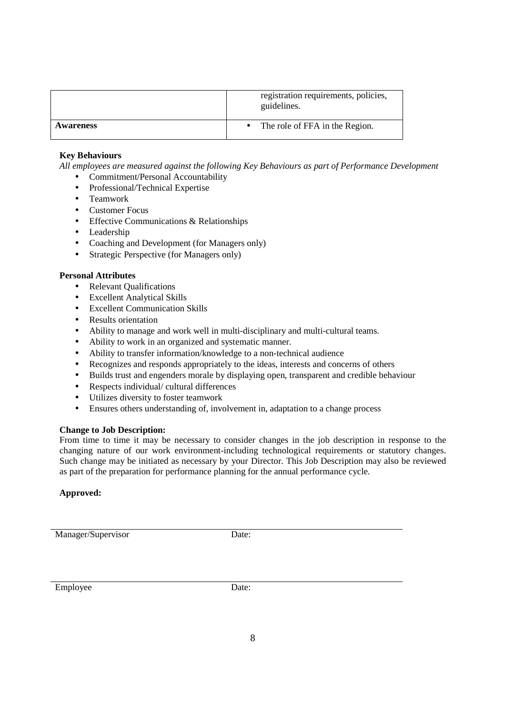|           | registration requirements, policies,<br>guidelines. |
|-----------|-----------------------------------------------------|
| Awareness | The role of FFA in the Region.                      |

#### **Key Behaviours**

*All employees are measured against the following Key Behaviours as part of Performance Development* 

- Commitment/Personal Accountability
- Professional/Technical Expertise
- Teamwork
- Customer Focus
- Effective Communications & Relationships
- Leadership
- Coaching and Development (for Managers only)
- Strategic Perspective (for Managers only)

#### **Personal Attributes**

- Relevant Qualifications
- Excellent Analytical Skills
- Excellent Communication Skills
- Results orientation
- Ability to manage and work well in multi-disciplinary and multi-cultural teams.
- Ability to work in an organized and systematic manner.
- Ability to transfer information/knowledge to a non-technical audience
- Recognizes and responds appropriately to the ideas, interests and concerns of others
- Builds trust and engenders morale by displaying open, transparent and credible behaviour
- Respects individual/ cultural differences
- Utilizes diversity to foster teamwork
- Ensures others understanding of, involvement in, adaptation to a change process

#### **Change to Job Description:**

From time to time it may be necessary to consider changes in the job description in response to the changing nature of our work environment-including technological requirements or statutory changes. Such change may be initiated as necessary by your Director. This Job Description may also be reviewed as part of the preparation for performance planning for the annual performance cycle.

#### **Approved:**

Manager/Supervisor Date:

Employee Date: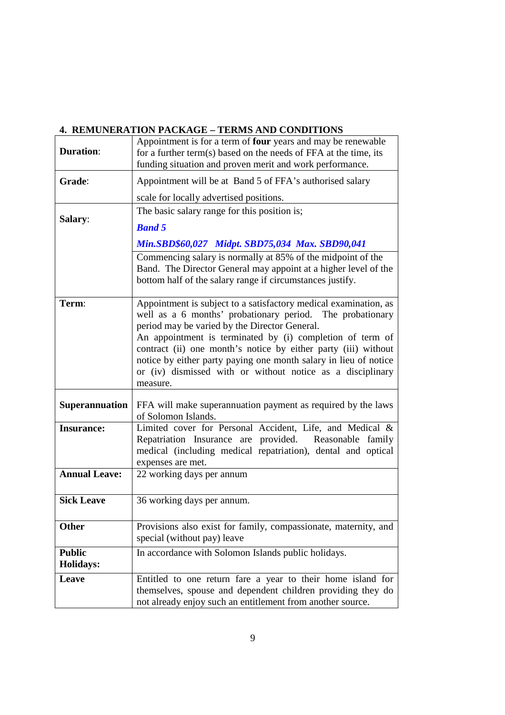## **4. REMUNERATION PACKAGE – TERMS AND CONDITIONS**

|                                   | Appointment is for a term of four years and may be renewable                                                                                                                                                                                                                                                                                                                                                                                                |
|-----------------------------------|-------------------------------------------------------------------------------------------------------------------------------------------------------------------------------------------------------------------------------------------------------------------------------------------------------------------------------------------------------------------------------------------------------------------------------------------------------------|
| <b>Duration:</b>                  | for a further term(s) based on the needs of FFA at the time, its                                                                                                                                                                                                                                                                                                                                                                                            |
|                                   | funding situation and proven merit and work performance.                                                                                                                                                                                                                                                                                                                                                                                                    |
| Grade:                            | Appointment will be at Band 5 of FFA's authorised salary                                                                                                                                                                                                                                                                                                                                                                                                    |
|                                   | scale for locally advertised positions.                                                                                                                                                                                                                                                                                                                                                                                                                     |
| Salary:                           | The basic salary range for this position is;                                                                                                                                                                                                                                                                                                                                                                                                                |
|                                   | <b>Band 5</b>                                                                                                                                                                                                                                                                                                                                                                                                                                               |
|                                   | Min.SBD\$60,027 Midpt. SBD75,034 Max. SBD90,041                                                                                                                                                                                                                                                                                                                                                                                                             |
|                                   | Commencing salary is normally at 85% of the midpoint of the<br>Band. The Director General may appoint at a higher level of the<br>bottom half of the salary range if circumstances justify.                                                                                                                                                                                                                                                                 |
| Term:                             | Appointment is subject to a satisfactory medical examination, as<br>well as a 6 months' probationary period. The probationary<br>period may be varied by the Director General.<br>An appointment is terminated by (i) completion of term of<br>contract (ii) one month's notice by either party (iii) without<br>notice by either party paying one month salary in lieu of notice<br>or (iv) dismissed with or without notice as a disciplinary<br>measure. |
| <b>Superannuation</b>             | FFA will make superannuation payment as required by the laws<br>of Solomon Islands.                                                                                                                                                                                                                                                                                                                                                                         |
| <b>Insurance:</b>                 | Limited cover for Personal Accident, Life, and Medical &<br>Repatriation Insurance are provided. Reasonable family<br>medical (including medical repatriation), dental and optical<br>expenses are met.                                                                                                                                                                                                                                                     |
| <b>Annual Leave:</b>              | 22 working days per annum                                                                                                                                                                                                                                                                                                                                                                                                                                   |
| <b>Sick Leave</b>                 | 36 working days per annum.                                                                                                                                                                                                                                                                                                                                                                                                                                  |
| <b>Other</b>                      | Provisions also exist for family, compassionate, maternity, and<br>special (without pay) leave                                                                                                                                                                                                                                                                                                                                                              |
| <b>Public</b><br><b>Holidays:</b> | In accordance with Solomon Islands public holidays.                                                                                                                                                                                                                                                                                                                                                                                                         |
| Leave                             | Entitled to one return fare a year to their home island for<br>themselves, spouse and dependent children providing they do<br>not already enjoy such an entitlement from another source.                                                                                                                                                                                                                                                                    |